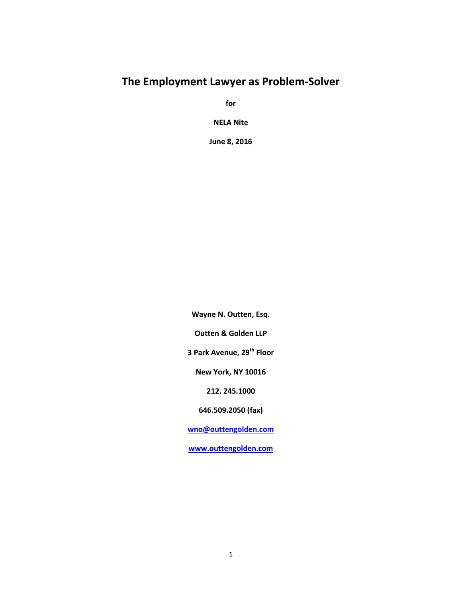# **The Employment Lawyer as Problem-Solver**

**for**

**NELA Nite**

**June 8, 2016**

**Wayne N. Outten, Esq. Outten & Golden LLP 3 Park Avenue, 29th Floor New York, NY 10016 212. 245.1000 646.509.2050 (fax) wno@outtengolden.com www.outtengolden.com**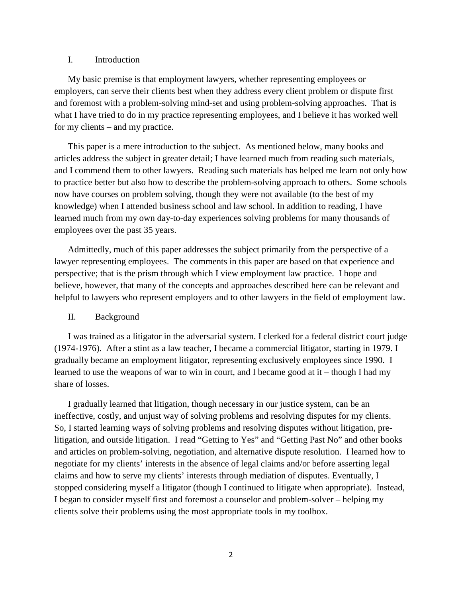### I. Introduction

My basic premise is that employment lawyers, whether representing employees or employers, can serve their clients best when they address every client problem or dispute first and foremost with a problem-solving mind-set and using problem-solving approaches. That is what I have tried to do in my practice representing employees, and I believe it has worked well for my clients – and my practice.

This paper is a mere introduction to the subject. As mentioned below, many books and articles address the subject in greater detail; I have learned much from reading such materials, and I commend them to other lawyers. Reading such materials has helped me learn not only how to practice better but also how to describe the problem-solving approach to others. Some schools now have courses on problem solving, though they were not available (to the best of my knowledge) when I attended business school and law school. In addition to reading, I have learned much from my own day-to-day experiences solving problems for many thousands of employees over the past 35 years.

Admittedly, much of this paper addresses the subject primarily from the perspective of a lawyer representing employees. The comments in this paper are based on that experience and perspective; that is the prism through which I view employment law practice. I hope and believe, however, that many of the concepts and approaches described here can be relevant and helpful to lawyers who represent employers and to other lawyers in the field of employment law.

#### II. Background

I was trained as a litigator in the adversarial system. I clerked for a federal district court judge (1974-1976). After a stint as a law teacher, I became a commercial litigator, starting in 1979. I gradually became an employment litigator, representing exclusively employees since 1990. I learned to use the weapons of war to win in court, and I became good at it – though I had my share of losses.

I gradually learned that litigation, though necessary in our justice system, can be an ineffective, costly, and unjust way of solving problems and resolving disputes for my clients. So, I started learning ways of solving problems and resolving disputes without litigation, prelitigation, and outside litigation. I read "Getting to Yes" and "Getting Past No" and other books and articles on problem-solving, negotiation, and alternative dispute resolution. I learned how to negotiate for my clients' interests in the absence of legal claims and/or before asserting legal claims and how to serve my clients' interests through mediation of disputes. Eventually, I stopped considering myself a litigator (though I continued to litigate when appropriate). Instead, I began to consider myself first and foremost a counselor and problem-solver – helping my clients solve their problems using the most appropriate tools in my toolbox.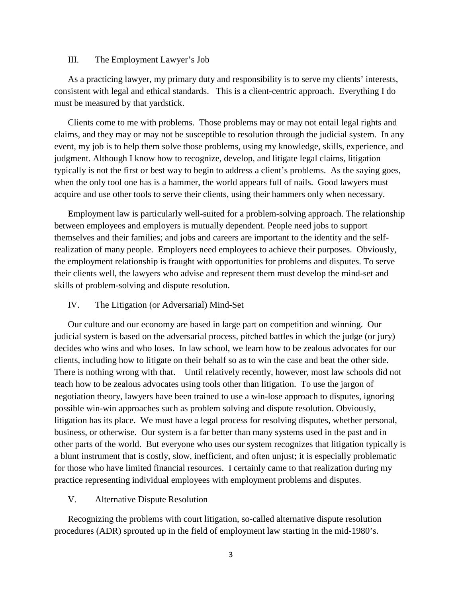### III. The Employment Lawyer's Job

As a practicing lawyer, my primary duty and responsibility is to serve my clients' interests, consistent with legal and ethical standards. This is a client-centric approach. Everything I do must be measured by that yardstick.

Clients come to me with problems. Those problems may or may not entail legal rights and claims, and they may or may not be susceptible to resolution through the judicial system. In any event, my job is to help them solve those problems, using my knowledge, skills, experience, and judgment. Although I know how to recognize, develop, and litigate legal claims, litigation typically is not the first or best way to begin to address a client's problems. As the saying goes, when the only tool one has is a hammer, the world appears full of nails. Good lawyers must acquire and use other tools to serve their clients, using their hammers only when necessary.

Employment law is particularly well-suited for a problem-solving approach. The relationship between employees and employers is mutually dependent. People need jobs to support themselves and their families; and jobs and careers are important to the identity and the selfrealization of many people. Employers need employees to achieve their purposes. Obviously, the employment relationship is fraught with opportunities for problems and disputes. To serve their clients well, the lawyers who advise and represent them must develop the mind-set and skills of problem-solving and dispute resolution.

### IV. The Litigation (or Adversarial) Mind-Set

Our culture and our economy are based in large part on competition and winning. Our judicial system is based on the adversarial process, pitched battles in which the judge (or jury) decides who wins and who loses. In law school, we learn how to be zealous advocates for our clients, including how to litigate on their behalf so as to win the case and beat the other side. There is nothing wrong with that. Until relatively recently, however, most law schools did not teach how to be zealous advocates using tools other than litigation. To use the jargon of negotiation theory, lawyers have been trained to use a win-lose approach to disputes, ignoring possible win-win approaches such as problem solving and dispute resolution. Obviously, litigation has its place. We must have a legal process for resolving disputes, whether personal, business, or otherwise. Our system is a far better than many systems used in the past and in other parts of the world. But everyone who uses our system recognizes that litigation typically is a blunt instrument that is costly, slow, inefficient, and often unjust; it is especially problematic for those who have limited financial resources. I certainly came to that realization during my practice representing individual employees with employment problems and disputes.

### V. Alternative Dispute Resolution

Recognizing the problems with court litigation, so-called alternative dispute resolution procedures (ADR) sprouted up in the field of employment law starting in the mid-1980's.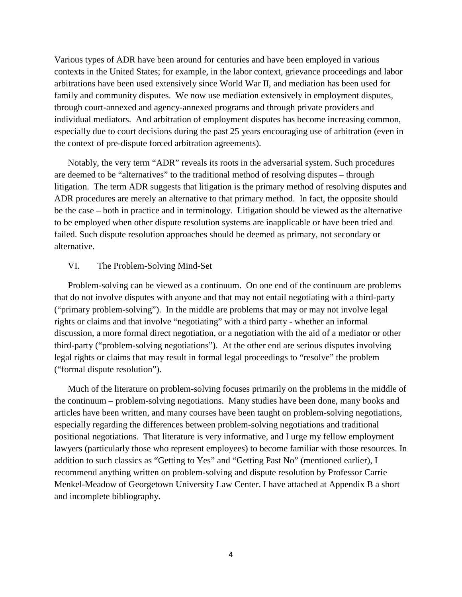Various types of ADR have been around for centuries and have been employed in various contexts in the United States; for example, in the labor context, grievance proceedings and labor arbitrations have been used extensively since World War II, and mediation has been used for family and community disputes. We now use mediation extensively in employment disputes, through court-annexed and agency-annexed programs and through private providers and individual mediators. And arbitration of employment disputes has become increasing common, especially due to court decisions during the past 25 years encouraging use of arbitration (even in the context of pre-dispute forced arbitration agreements).

Notably, the very term "ADR" reveals its roots in the adversarial system. Such procedures are deemed to be "alternatives" to the traditional method of resolving disputes – through litigation. The term ADR suggests that litigation is the primary method of resolving disputes and ADR procedures are merely an alternative to that primary method. In fact, the opposite should be the case – both in practice and in terminology. Litigation should be viewed as the alternative to be employed when other dispute resolution systems are inapplicable or have been tried and failed. Such dispute resolution approaches should be deemed as primary, not secondary or alternative.

### VI. The Problem-Solving Mind-Set

Problem-solving can be viewed as a continuum. On one end of the continuum are problems that do not involve disputes with anyone and that may not entail negotiating with a third-party ("primary problem-solving"). In the middle are problems that may or may not involve legal rights or claims and that involve "negotiating" with a third party - whether an informal discussion, a more formal direct negotiation, or a negotiation with the aid of a mediator or other third-party ("problem-solving negotiations"). At the other end are serious disputes involving legal rights or claims that may result in formal legal proceedings to "resolve" the problem ("formal dispute resolution").

Much of the literature on problem-solving focuses primarily on the problems in the middle of the continuum – problem-solving negotiations. Many studies have been done, many books and articles have been written, and many courses have been taught on problem-solving negotiations, especially regarding the differences between problem-solving negotiations and traditional positional negotiations. That literature is very informative, and I urge my fellow employment lawyers (particularly those who represent employees) to become familiar with those resources. In addition to such classics as "Getting to Yes" and "Getting Past No" (mentioned earlier), I recommend anything written on problem-solving and dispute resolution by Professor Carrie Menkel-Meadow of Georgetown University Law Center. I have attached at Appendix B a short and incomplete bibliography.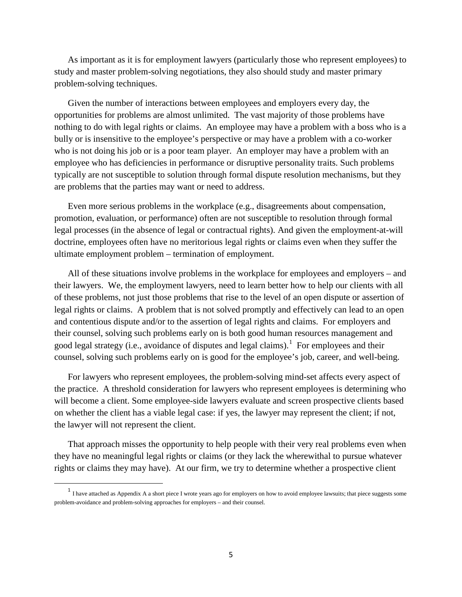As important as it is for employment lawyers (particularly those who represent employees) to study and master problem-solving negotiations, they also should study and master primary problem-solving techniques.

Given the number of interactions between employees and employers every day, the opportunities for problems are almost unlimited. The vast majority of those problems have nothing to do with legal rights or claims. An employee may have a problem with a boss who is a bully or is insensitive to the employee's perspective or may have a problem with a co-worker who is not doing his job or is a poor team player. An employer may have a problem with an employee who has deficiencies in performance or disruptive personality traits. Such problems typically are not susceptible to solution through formal dispute resolution mechanisms, but they are problems that the parties may want or need to address.

Even more serious problems in the workplace (e.g., disagreements about compensation, promotion, evaluation, or performance) often are not susceptible to resolution through formal legal processes (in the absence of legal or contractual rights). And given the employment-at-will doctrine, employees often have no meritorious legal rights or claims even when they suffer the ultimate employment problem – termination of employment.

All of these situations involve problems in the workplace for employees and employers – and their lawyers. We, the employment lawyers, need to learn better how to help our clients with all of these problems, not just those problems that rise to the level of an open dispute or assertion of legal rights or claims. A problem that is not solved promptly and effectively can lead to an open and contentious dispute and/or to the assertion of legal rights and claims. For employers and their counsel, solving such problems early on is both good human resources management and good legal strategy (i.e., avoidance of disputes and legal claims).<sup>1</sup> For employees and their counsel, solving such problems early on is good for the employee's job, career, and well-being.

For lawyers who represent employees, the problem-solving mind-set affects every aspect of the practice. A threshold consideration for lawyers who represent employees is determining who will become a client. Some employee-side lawyers evaluate and screen prospective clients based on whether the client has a viable legal case: if yes, the lawyer may represent the client; if not, the lawyer will not represent the client.

That approach misses the opportunity to help people with their very real problems even when they have no meaningful legal rights or claims (or they lack the wherewithal to pursue whatever rights or claims they may have). At our firm, we try to determine whether a prospective client

 $\overline{\phantom{a}}$ 

<sup>&</sup>lt;sup>1</sup> I have attached as Appendix A a short piece I wrote years ago for employers on how to avoid employee lawsuits; that piece suggests some problem-avoidance and problem-solving approaches for employers – and their counsel.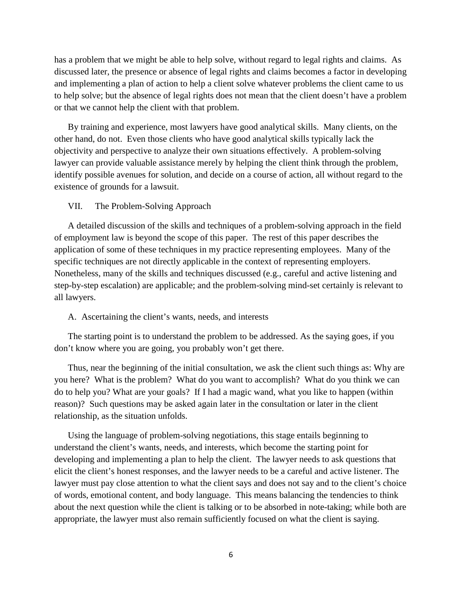has a problem that we might be able to help solve, without regard to legal rights and claims. As discussed later, the presence or absence of legal rights and claims becomes a factor in developing and implementing a plan of action to help a client solve whatever problems the client came to us to help solve; but the absence of legal rights does not mean that the client doesn't have a problem or that we cannot help the client with that problem.

By training and experience, most lawyers have good analytical skills. Many clients, on the other hand, do not. Even those clients who have good analytical skills typically lack the objectivity and perspective to analyze their own situations effectively. A problem-solving lawyer can provide valuable assistance merely by helping the client think through the problem, identify possible avenues for solution, and decide on a course of action, all without regard to the existence of grounds for a lawsuit.

#### VII. The Problem-Solving Approach

A detailed discussion of the skills and techniques of a problem-solving approach in the field of employment law is beyond the scope of this paper. The rest of this paper describes the application of some of these techniques in my practice representing employees. Many of the specific techniques are not directly applicable in the context of representing employers. Nonetheless, many of the skills and techniques discussed (e.g., careful and active listening and step-by-step escalation) are applicable; and the problem-solving mind-set certainly is relevant to all lawyers.

### A. Ascertaining the client's wants, needs, and interests

The starting point is to understand the problem to be addressed. As the saying goes, if you don't know where you are going, you probably won't get there.

Thus, near the beginning of the initial consultation, we ask the client such things as: Why are you here? What is the problem? What do you want to accomplish? What do you think we can do to help you? What are your goals? If I had a magic wand, what you like to happen (within reason)? Such questions may be asked again later in the consultation or later in the client relationship, as the situation unfolds.

Using the language of problem-solving negotiations, this stage entails beginning to understand the client's wants, needs, and interests, which become the starting point for developing and implementing a plan to help the client. The lawyer needs to ask questions that elicit the client's honest responses, and the lawyer needs to be a careful and active listener. The lawyer must pay close attention to what the client says and does not say and to the client's choice of words, emotional content, and body language. This means balancing the tendencies to think about the next question while the client is talking or to be absorbed in note-taking; while both are appropriate, the lawyer must also remain sufficiently focused on what the client is saying.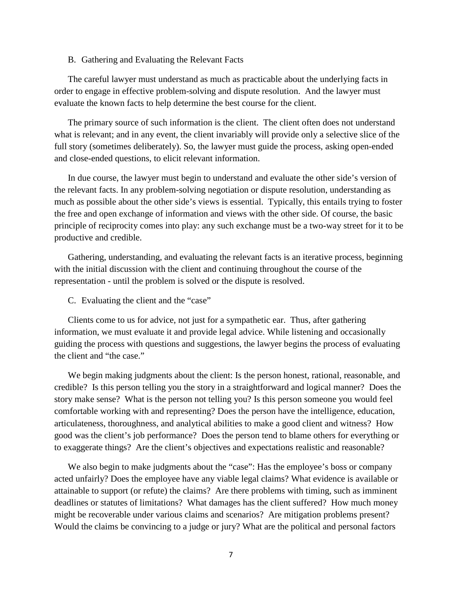#### B. Gathering and Evaluating the Relevant Facts

The careful lawyer must understand as much as practicable about the underlying facts in order to engage in effective problem-solving and dispute resolution. And the lawyer must evaluate the known facts to help determine the best course for the client.

The primary source of such information is the client. The client often does not understand what is relevant; and in any event, the client invariably will provide only a selective slice of the full story (sometimes deliberately). So, the lawyer must guide the process, asking open-ended and close-ended questions, to elicit relevant information.

In due course, the lawyer must begin to understand and evaluate the other side's version of the relevant facts. In any problem-solving negotiation or dispute resolution, understanding as much as possible about the other side's views is essential. Typically, this entails trying to foster the free and open exchange of information and views with the other side. Of course, the basic principle of reciprocity comes into play: any such exchange must be a two-way street for it to be productive and credible.

Gathering, understanding, and evaluating the relevant facts is an iterative process, beginning with the initial discussion with the client and continuing throughout the course of the representation - until the problem is solved or the dispute is resolved.

C. Evaluating the client and the "case"

Clients come to us for advice, not just for a sympathetic ear. Thus, after gathering information, we must evaluate it and provide legal advice. While listening and occasionally guiding the process with questions and suggestions, the lawyer begins the process of evaluating the client and "the case."

We begin making judgments about the client: Is the person honest, rational, reasonable, and credible? Is this person telling you the story in a straightforward and logical manner? Does the story make sense? What is the person not telling you? Is this person someone you would feel comfortable working with and representing? Does the person have the intelligence, education, articulateness, thoroughness, and analytical abilities to make a good client and witness? How good was the client's job performance? Does the person tend to blame others for everything or to exaggerate things? Are the client's objectives and expectations realistic and reasonable?

We also begin to make judgments about the "case": Has the employee's boss or company acted unfairly? Does the employee have any viable legal claims? What evidence is available or attainable to support (or refute) the claims? Are there problems with timing, such as imminent deadlines or statutes of limitations? What damages has the client suffered? How much money might be recoverable under various claims and scenarios? Are mitigation problems present? Would the claims be convincing to a judge or jury? What are the political and personal factors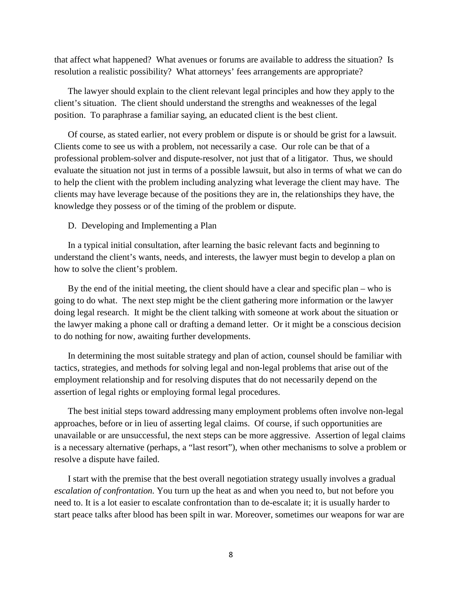that affect what happened? What avenues or forums are available to address the situation? Is resolution a realistic possibility? What attorneys' fees arrangements are appropriate?

The lawyer should explain to the client relevant legal principles and how they apply to the client's situation. The client should understand the strengths and weaknesses of the legal position. To paraphrase a familiar saying, an educated client is the best client.

Of course, as stated earlier, not every problem or dispute is or should be grist for a lawsuit. Clients come to see us with a problem, not necessarily a case. Our role can be that of a professional problem-solver and dispute-resolver, not just that of a litigator. Thus, we should evaluate the situation not just in terms of a possible lawsuit, but also in terms of what we can do to help the client with the problem including analyzing what leverage the client may have. The clients may have leverage because of the positions they are in, the relationships they have, the knowledge they possess or of the timing of the problem or dispute.

#### D. Developing and Implementing a Plan

In a typical initial consultation, after learning the basic relevant facts and beginning to understand the client's wants, needs, and interests, the lawyer must begin to develop a plan on how to solve the client's problem.

By the end of the initial meeting, the client should have a clear and specific plan – who is going to do what. The next step might be the client gathering more information or the lawyer doing legal research. It might be the client talking with someone at work about the situation or the lawyer making a phone call or drafting a demand letter. Or it might be a conscious decision to do nothing for now, awaiting further developments.

In determining the most suitable strategy and plan of action, counsel should be familiar with tactics, strategies, and methods for solving legal and non-legal problems that arise out of the employment relationship and for resolving disputes that do not necessarily depend on the assertion of legal rights or employing formal legal procedures.

The best initial steps toward addressing many employment problems often involve non-legal approaches, before or in lieu of asserting legal claims. Of course, if such opportunities are unavailable or are unsuccessful, the next steps can be more aggressive. Assertion of legal claims is a necessary alternative (perhaps, a "last resort"), when other mechanisms to solve a problem or resolve a dispute have failed.

I start with the premise that the best overall negotiation strategy usually involves a gradual *escalation of confrontation.* You turn up the heat as and when you need to, but not before you need to. It is a lot easier to escalate confrontation than to de-escalate it; it is usually harder to start peace talks after blood has been spilt in war. Moreover, sometimes our weapons for war are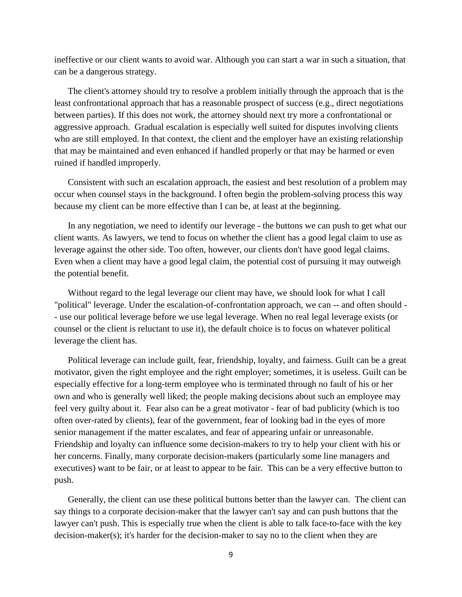ineffective or our client wants to avoid war. Although you can start a war in such a situation, that can be a dangerous strategy.

The client's attorney should try to resolve a problem initially through the approach that is the least confrontational approach that has a reasonable prospect of success (e.g., direct negotiations between parties). If this does not work, the attorney should next try more a confrontational or aggressive approach. Gradual escalation is especially well suited for disputes involving clients who are still employed. In that context, the client and the employer have an existing relationship that may be maintained and even enhanced if handled properly or that may be harmed or even ruined if handled improperly.

Consistent with such an escalation approach, the easiest and best resolution of a problem may occur when counsel stays in the background. I often begin the problem-solving process this way because my client can be more effective than I can be, at least at the beginning.

In any negotiation, we need to identify our leverage - the buttons we can push to get what our client wants. As lawyers, we tend to focus on whether the client has a good legal claim to use as leverage against the other side. Too often, however, our clients don't have good legal claims. Even when a client may have a good legal claim, the potential cost of pursuing it may outweigh the potential benefit.

Without regard to the legal leverage our client may have, we should look for what I call "political" leverage. Under the escalation-of-confrontation approach, we can -- and often should - - use our political leverage before we use legal leverage. When no real legal leverage exists (or counsel or the client is reluctant to use it), the default choice is to focus on whatever political leverage the client has.

Political leverage can include guilt, fear, friendship, loyalty, and fairness. Guilt can be a great motivator, given the right employee and the right employer; sometimes, it is useless. Guilt can be especially effective for a long-term employee who is terminated through no fault of his or her own and who is generally well liked; the people making decisions about such an employee may feel very guilty about it. Fear also can be a great motivator - fear of bad publicity (which is too often over-rated by clients), fear of the government, fear of looking bad in the eyes of more senior management if the matter escalates, and fear of appearing unfair or unreasonable. Friendship and loyalty can influence some decision-makers to try to help your client with his or her concerns. Finally, many corporate decision-makers (particularly some line managers and executives) want to be fair, or at least to appear to be fair. This can be a very effective button to push.

Generally, the client can use these political buttons better than the lawyer can. The client can say things to a corporate decision-maker that the lawyer can't say and can push buttons that the lawyer can't push. This is especially true when the client is able to talk face-to-face with the key decision-maker(s); it's harder for the decision-maker to say no to the client when they are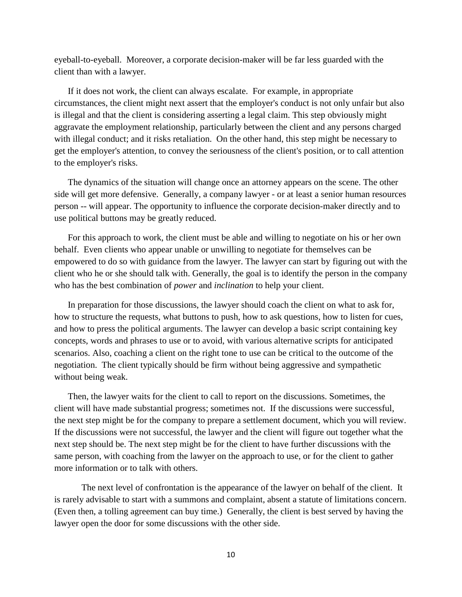eyeball-to-eyeball. Moreover, a corporate decision-maker will be far less guarded with the client than with a lawyer.

If it does not work, the client can always escalate. For example, in appropriate circumstances, the client might next assert that the employer's conduct is not only unfair but also is illegal and that the client is considering asserting a legal claim. This step obviously might aggravate the employment relationship, particularly between the client and any persons charged with illegal conduct; and it risks retaliation. On the other hand, this step might be necessary to get the employer's attention, to convey the seriousness of the client's position, or to call attention to the employer's risks.

The dynamics of the situation will change once an attorney appears on the scene. The other side will get more defensive. Generally, a company lawyer - or at least a senior human resources person -- will appear. The opportunity to influence the corporate decision-maker directly and to use political buttons may be greatly reduced.

For this approach to work, the client must be able and willing to negotiate on his or her own behalf. Even clients who appear unable or unwilling to negotiate for themselves can be empowered to do so with guidance from the lawyer. The lawyer can start by figuring out with the client who he or she should talk with. Generally, the goal is to identify the person in the company who has the best combination of *power* and *inclination* to help your client.

In preparation for those discussions, the lawyer should coach the client on what to ask for, how to structure the requests, what buttons to push, how to ask questions, how to listen for cues, and how to press the political arguments. The lawyer can develop a basic script containing key concepts, words and phrases to use or to avoid, with various alternative scripts for anticipated scenarios. Also, coaching a client on the right tone to use can be critical to the outcome of the negotiation. The client typically should be firm without being aggressive and sympathetic without being weak.

Then, the lawyer waits for the client to call to report on the discussions. Sometimes, the client will have made substantial progress; sometimes not. If the discussions were successful, the next step might be for the company to prepare a settlement document, which you will review. If the discussions were not successful, the lawyer and the client will figure out together what the next step should be. The next step might be for the client to have further discussions with the same person, with coaching from the lawyer on the approach to use, or for the client to gather more information or to talk with others.

The next level of confrontation is the appearance of the lawyer on behalf of the client. It is rarely advisable to start with a summons and complaint, absent a statute of limitations concern. (Even then, a tolling agreement can buy time.) Generally, the client is best served by having the lawyer open the door for some discussions with the other side.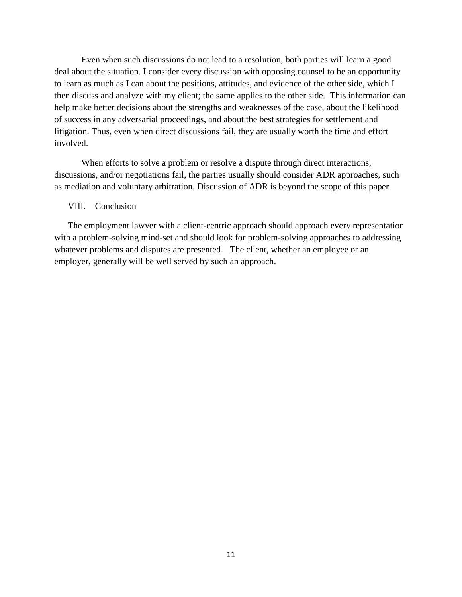Even when such discussions do not lead to a resolution, both parties will learn a good deal about the situation. I consider every discussion with opposing counsel to be an opportunity to learn as much as I can about the positions, attitudes, and evidence of the other side, which I then discuss and analyze with my client; the same applies to the other side. This information can help make better decisions about the strengths and weaknesses of the case, about the likelihood of success in any adversarial proceedings, and about the best strategies for settlement and litigation. Thus, even when direct discussions fail, they are usually worth the time and effort involved.

When efforts to solve a problem or resolve a dispute through direct interactions, discussions, and/or negotiations fail, the parties usually should consider ADR approaches, such as mediation and voluntary arbitration. Discussion of ADR is beyond the scope of this paper.

#### VIII. Conclusion

The employment lawyer with a client-centric approach should approach every representation with a problem-solving mind-set and should look for problem-solving approaches to addressing whatever problems and disputes are presented. The client, whether an employee or an employer, generally will be well served by such an approach.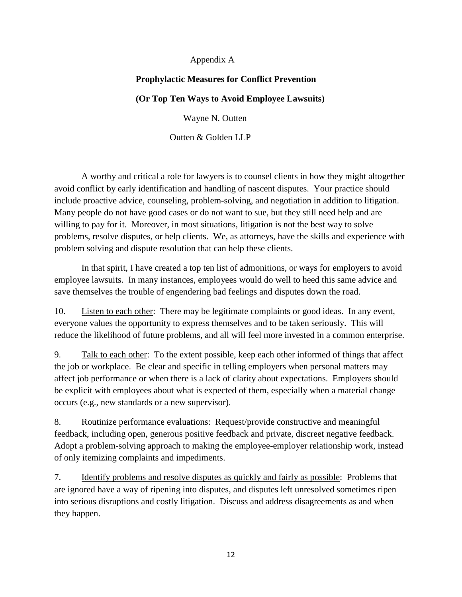# Appendix A

# **Prophylactic Measures for Conflict Prevention**

# **(Or Top Ten Ways to Avoid Employee Lawsuits)**

Wayne N. Outten

Outten & Golden LLP

A worthy and critical a role for lawyers is to counsel clients in how they might altogether avoid conflict by early identification and handling of nascent disputes. Your practice should include proactive advice, counseling, problem-solving, and negotiation in addition to litigation. Many people do not have good cases or do not want to sue, but they still need help and are willing to pay for it. Moreover, in most situations, litigation is not the best way to solve problems, resolve disputes, or help clients. We, as attorneys, have the skills and experience with problem solving and dispute resolution that can help these clients.

In that spirit, I have created a top ten list of admonitions, or ways for employers to avoid employee lawsuits. In many instances, employees would do well to heed this same advice and save themselves the trouble of engendering bad feelings and disputes down the road.

10. Listen to each other: There may be legitimate complaints or good ideas. In any event, everyone values the opportunity to express themselves and to be taken seriously. This will reduce the likelihood of future problems, and all will feel more invested in a common enterprise.

9. Talk to each other: To the extent possible, keep each other informed of things that affect the job or workplace. Be clear and specific in telling employers when personal matters may affect job performance or when there is a lack of clarity about expectations. Employers should be explicit with employees about what is expected of them, especially when a material change occurs (e.g., new standards or a new supervisor).

8. Routinize performance evaluations: Request/provide constructive and meaningful feedback, including open, generous positive feedback and private, discreet negative feedback. Adopt a problem-solving approach to making the employee-employer relationship work, instead of only itemizing complaints and impediments.

7. Identify problems and resolve disputes as quickly and fairly as possible: Problems that are ignored have a way of ripening into disputes, and disputes left unresolved sometimes ripen into serious disruptions and costly litigation. Discuss and address disagreements as and when they happen.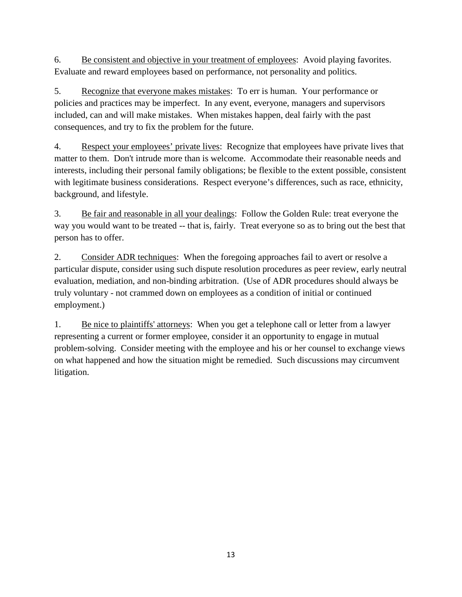6. Be consistent and objective in your treatment of employees: Avoid playing favorites. Evaluate and reward employees based on performance, not personality and politics.

5. Recognize that everyone makes mistakes: To err is human. Your performance or policies and practices may be imperfect. In any event, everyone, managers and supervisors included, can and will make mistakes. When mistakes happen, deal fairly with the past consequences, and try to fix the problem for the future.

4. Respect your employees' private lives: Recognize that employees have private lives that matter to them. Don't intrude more than is welcome. Accommodate their reasonable needs and interests, including their personal family obligations; be flexible to the extent possible, consistent with legitimate business considerations. Respect everyone's differences, such as race, ethnicity, background, and lifestyle.

3. Be fair and reasonable in all your dealings: Follow the Golden Rule: treat everyone the way you would want to be treated -- that is, fairly. Treat everyone so as to bring out the best that person has to offer.

2. Consider ADR techniques: When the foregoing approaches fail to avert or resolve a particular dispute, consider using such dispute resolution procedures as peer review, early neutral evaluation, mediation, and non-binding arbitration. (Use of ADR procedures should always be truly voluntary - not crammed down on employees as a condition of initial or continued employment.)

1. Be nice to plaintiffs' attorneys: When you get a telephone call or letter from a lawyer representing a current or former employee, consider it an opportunity to engage in mutual problem-solving. Consider meeting with the employee and his or her counsel to exchange views on what happened and how the situation might be remedied. Such discussions may circumvent litigation.